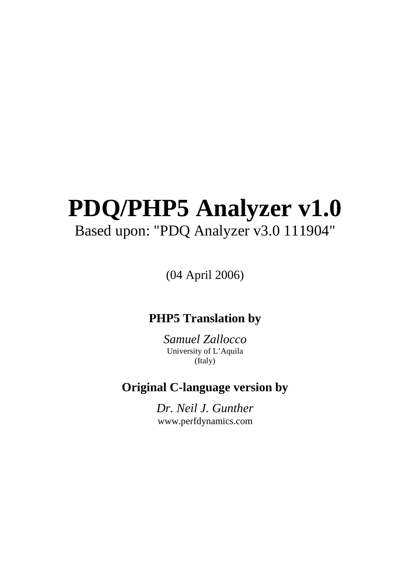# **PDQ/PHP5 Analyzer v1.0** Based upon: "PDQ Analyzer v3.0 111904"

(04 April 2006)

## **PHP5 Translation by**

*Samuel Zallocco*  University of L'Aquila (Italy)

# **Original C-language version by**

*Dr. Neil J. Gunther*  www.perfdynamics.com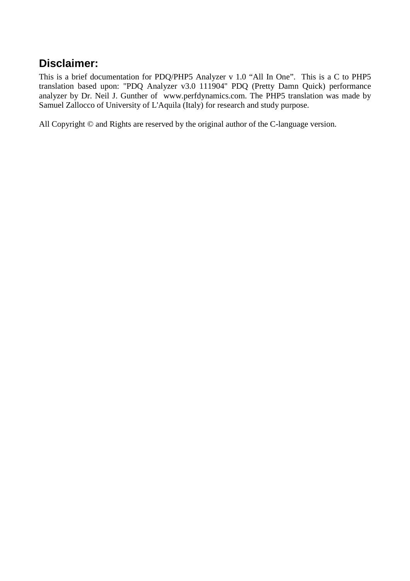### **Disclaimer:**

This is a brief documentation for PDQ/PHP5 Analyzer v 1.0 "All In One". This is a C to PHP5 translation based upon: "PDQ Analyzer v3.0 111904" PDQ (Pretty Damn Quick) performance analyzer by Dr. Neil J. Gunther of www.perfdynamics.com. The PHP5 translation was made by Samuel Zallocco of University of L'Aquila (Italy) for research and study purpose.

All Copyright  $\odot$  and Rights are reserved by the original author of the C-language version.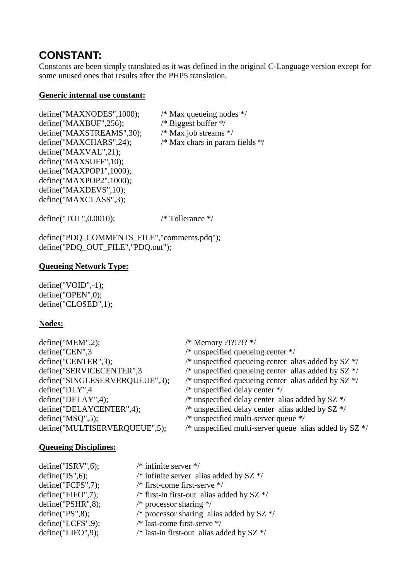### **CONSTANT:**

Constants are been simply translated as it was defined in the original C-Language version except for some unused ones that results after the PHP5 translation.

#### **Generic internal use constant:**

define("MAXNODES",1000); /\* Max queueing nodes \*/ define("MAXBUF",256);  $\frac{1}{8}$  Biggest buffer \*/<br>define("MAXSTREAMS",30);  $\frac{1}{8}$  Max job streams \*/ define(" $MAXSTREAMS$ ",30); define("MAXCHARS",24);  $\frac{\text{#}}{\text{Max} \text{ } \text{char} \text{ }}$  in param fields  $\frac{\text{#}}{\text{}}$ define("MAXVAL",21); define("MAXSUFF",10); define("MAXPOP1",1000); define("MAXPOP2",1000); define("MAXDEVS",10); define("MAXCLASS",3);

define("TOL",0.0010); /\* Tollerance \*/

define("PDQ\_COMMENTS\_FILE","comments.pdq"); define("PDQ\_OUT\_FILE","PDQ.out");

#### **Queueing Network Type:**

define("VOID",-1); define("OPEN",0); define("CLOSED",1);

#### **Nodes:**

| define("MEM", 2);              | /* Memory ?!?!?!? */                                     |
|--------------------------------|----------------------------------------------------------|
| define("CEN",3                 | $/*$ unspecified queueing center $*/$                    |
| define("CENTER",3);            | /* unspecified queueing center alias added by $SZ$ */    |
| define("SERVICECENTER",3       | /* unspecified queueing center alias added by $SZ$ */    |
| define("SINGLESERVERQUEUE",3); | /* unspecified queueing center alias added by $SZ$ */    |
| define("DLY",4                 | $/*$ unspecified delay center $*/$                       |
| define("DELAY", 4);            | /* unspecified delay center alias added by $SZ$ */       |
| define("DELAYCENTER",4);       | /* unspecified delay center alias added by $SZ$ */       |
| define("MSQ", 5);              | $/*$ unspecified multi-server queue $*/$                 |
| define("MULTISERVERQUEUE",5);  | /* unspecified multi-server queue alias added by $SZ$ */ |
|                                |                                                          |

#### **Queueing Disciplines:**

| $/*$ infinite server $*/$                    |
|----------------------------------------------|
|                                              |
| /* infinite server alias added by $SZ$ */    |
| $/*$ first-come first-serve $*/$             |
| /* first-in first-out alias added by $SZ$ */ |
| /* processor sharing $*/$                    |
| /* processor sharing alias added by $SZ$ */  |
| /* last-come first-serve */                  |
| /* last-in first-out alias added by $SZ$ */  |
|                                              |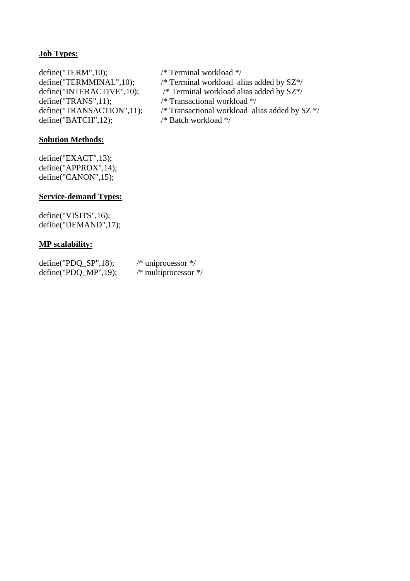### **Job Types:**

define("TERM",10); /\* Terminal workload \*/ define("TERMMINAL",10); /\* Terminal workload alias added by SZ\*/ define("INTERACTIVE",10); /\* Terminal workload alias added by SZ\*/ define("TRANS",11); /\* Transactional workload \*/<br>define("TRANSACTION",11); /\* Transactional workload al  $define("BATCH", 12);$ 

#### **Solution Methods:**

define("EXACT",13); define("APPROX",14); define("CANON",15);

#### **Service-demand Types:**

define("VISITS",16); define("DEMAND",17);

#### **MP scalability:**

| $define("PDQ_SP", 18);$ | /* uniprocessor $*/$     |
|-------------------------|--------------------------|
| $define("PDQ_MP", 19);$ | $/*$ multiprocessor $*/$ |

- 
- 
- 
- /\* Transactional workload alias added by SZ \*/ /\* Batch workload \*/
-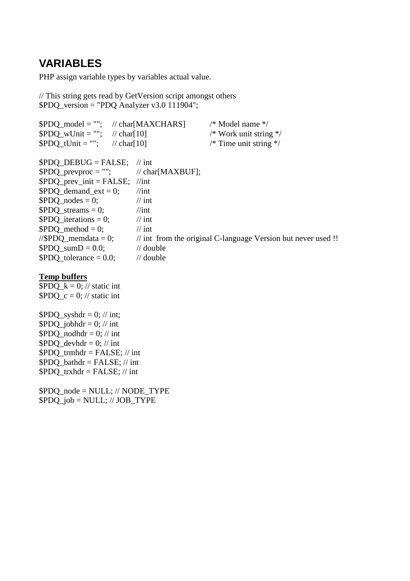### **VARIABLES**

PHP assign variable types by variables actual value.

// This string gets read by GetVersion script amongst others \$PDQ\_version = "PDQ Analyzer v3.0 111904";

| $$PDO model = "";$ // char[MAXCHARS]     |                      | $/*$ Model name $*/$                                                     |
|------------------------------------------|----------------------|--------------------------------------------------------------------------|
| \$PDQ wUnit = ""; $\frac{1}{2}$ char[10] |                      | /* Work unit string $*/$                                                 |
| \$PDQ tUnit = ""; $\frac{1}{2}$ char[10] |                      | $\frac{*}{*}$ Time unit string $\frac{*}{*}$                             |
| $$PDO$ DEBUG = FALSE;                    | $\frac{1}{\pi}$ int  |                                                                          |
| $$PDO\_prevproc = "";$                   | // $char[MAXBUF];$   |                                                                          |
| $$PDO\_prev\_init = FALSE;$              | $\frac{1}{\pi}$      |                                                                          |
| $$PDO demand ext = 0;$                   | $\frac{1}{\pi}$      |                                                                          |
| $$PDO nodes = 0;$                        | $\frac{1}{\pi}$ int  |                                                                          |
| $$PDO streams = 0;$                      | $\frac{1}{\pi}$      |                                                                          |
| $$PDOi iterations = 0;$                  | $\frac{1}{\pi}$ int  |                                                                          |
| $$PDO method = 0;$                       | $\frac{1}{\pi}$ int  |                                                                          |
| //\$PDQ memdata = 0;                     |                      | $\frac{1}{2}$ int from the original C-language Version but never used !! |
| $$PDO sumD = 0.0;$                       | $\frac{1}{2}$ double |                                                                          |
| $$PDO tolerance = 0.0;$                  | $\frac{1}{2}$ double |                                                                          |
|                                          |                      |                                                                          |

#### **Temp buffers**

 $\overline{\text{SPDO}}\ \text{k} = 0$ ; // static int  $$PDO_c = 0$ ; // static int

 $$PDO$  syshdr = 0; // int;  $$PDO<sub>i</sub>obhdr = 0; // int$  $$PDO_modeldr = 0; // int$  $$PDO\_devhdr = 0; // int$  $$PDO_trmhdr = FALSE; // int$ \$PDQ\_bathdr = FALSE; // int  $$PDO_{trx}thdr = FALSE; // int$ 

\$PDQ\_node = NULL; // NODE\_TYPE  $$PDQ\_job = NULL; // JOB_TYPE$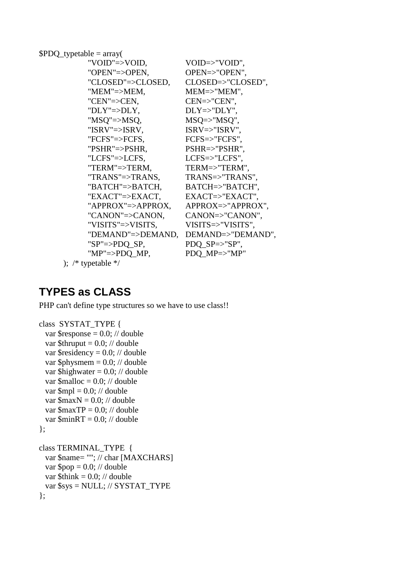```
$PDO_typetable = array( "VOID"=>VOID, VOID=>"VOID", 
           "OPEN"=>OPEN, OPEN=>"OPEN", 
           "CLOSED"=>CLOSED, CLOSED=>"CLOSED", 
           "MEM"=>MEM, MEM=>"MEM", 
           "CEN"=>CEN, CEN=>"CEN", 
          "DLY">>DLY, DLY>>"DLY",
          "MSQ"=>MSQ, MSQ=>"MSQ"
           "ISRV"=>ISRV, ISRV=>"ISRV", 
           "FCFS"=>FCFS, FCFS=>"FCFS", 
           "PSHR"=>PSHR, PSHR=>"PSHR", 
           "LCFS"=>LCFS, LCFS=>"LCFS", 
           "TERM"=>TERM, TERM=>"TERM", 
           "TRANS"=>TRANS, TRANS=>"TRANS", 
           "BATCH"=>BATCH, BATCH=>"BATCH", 
           "EXACT"=>EXACT, EXACT=>"EXACT", 
           "APPROX"=>APPROX, APPROX=>"APPROX", 
           "CANON"=>CANON, CANON=>"CANON", 
           "VISITS"=>VISITS, VISITS=>"VISITS", 
           "DEMAND"=>DEMAND, DEMAND=>"DEMAND", 
          "SP" \Rightarrow \text{PDQ\_SP}, \qquad \text{PDQ\_SP} \Rightarrow "SP","MP"=>PDO_MP, PDO_MP=>"MP"
      ); /* typetable */
```
### **TYPES as CLASS**

PHP can't define type structures so we have to use class!!

```
class SYSTAT_TYPE { 
  var \text{Stesponse} = 0.0; // double
  var $thrupt = 0.0; // doublevar \text{Sresidency} = 0.0; // double
  var \phiphysmem = 0.0; // double
  var $highwater = 0.0; // double
  var \text{Smalloc} = 0.0; // double
  var \text{Smpl} = 0.0; // double
  var \text{SmaxN} = 0.0; // double
  var \text{SmaxTP} = 0.0; // double
  var \text{Similar} = 0.0; // double
}; 
class TERMINAL_TYPE { 
   var $name= ""; // char [MAXCHARS] 
  var \text{Top} = 0.0; // double
  var $think = 0.0; // double var $sys = NULL; // SYSTAT_TYPE
```

```
};
```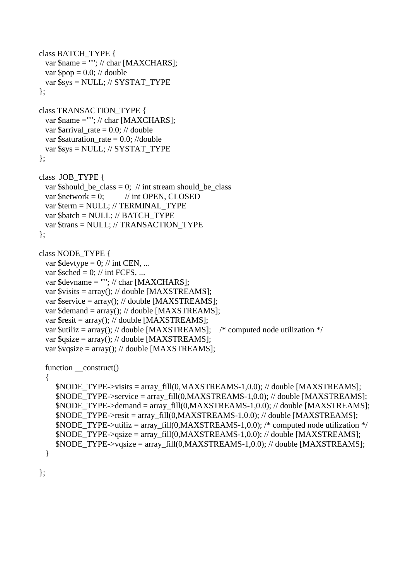```
class BATCH_TYPE { 
 var \text{Shame} = \text{""}; // char [MAXCHARS];
 var \text{Top} = 0.0; // double
  var $sys = NULL; // SYSTAT_TYPE 
}; 
class TRANSACTION_TYPE { 
 var $name =""; // char [MAXCHARS];
 var $arrival_rate = 0.0; // double
 var $saturation_rate = 0.0; //double
  var $sys = NULL; // SYSTAT_TYPE 
}; 
class JOB_TYPE { 
 var $should be class = 0; // int stream should be class
 var \text{Snetwork} = 0; // int OPEN, CLOSED
  var $term = NULL; // TERMINAL_TYPE 
  var $batch = NULL; // BATCH_TYPE 
  var $trans = NULL; // TRANSACTION_TYPE 
}; 
class NODE_TYPE { 
 var \text{Sdevtype} = 0; // int CEN, ...
 var \text{Ssched} = 0; // int FCFS, ...
  var $devname = ""; // char [MAXCHARS]; 
 var \text{Svisits} = \text{array}; // double [MAXSTREAMS];
  var $service = array(); // double [MAXSTREAMS]; 
  var $demand = array(); // double [MAXSTREAMS]; 
 var \text{Sresit} = \text{array}(; // double [MAXSTREAMS];
 var $utiliz = array(); // double [MAXSTREAMS]; /* computed node utilization */var qsize = array(); // double [MAXSTREAMS];var \text{y}qsize = \arctan(1); // double [MAXSTREAMS];
 function __construct()
  { 
     $NODE_TYPE->visits = array_fill(0,MAXSTREAMS-1,0.0); // double [MAXSTREAMS]; 
    $NODE_TYPE->service = array_fill(0,MAXSTREAMS-1,0.0); // double [MAXSTREAMS];
     $NODE TYPE->demand = array fill(0,MAXSTREAMS-1,0.0); // double [MAXSTREAMS];
     $NODE_TYPE->resit = array_fill(0,MAXSTREAMS-1,0.0); // double [MAXSTREAMS]; 
    $NODE_TYPE\rightarrowutiliz = array_fill(0,MAXSTREAMS-1,0.0); /* computed node utilization */
    $NODE_TYPE->qsize = array_fill(0,MAXSTREAMS-1,0.0); // double [MAXSTREAMS];
    $NODE_TYPE->vqsize = array_fill(0,MAXSTREAMS-1,0.0); // double [MAXSTREAMS];
  }
```
};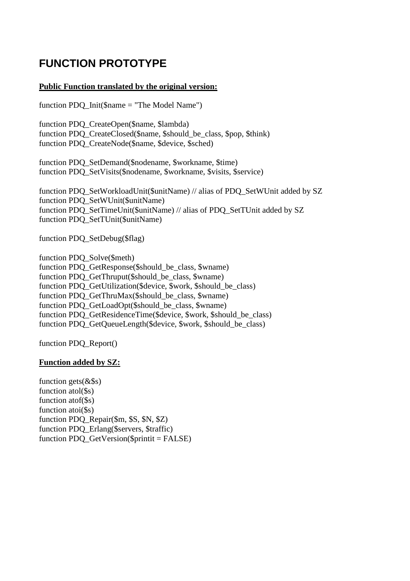# **FUNCTION PROTOTYPE**

#### **Public Function translated by the original version:**

function PDQ\_Init(\$name = "The Model Name")

function PDQ\_CreateOpen(\$name, \$lambda) function PDQ CreateClosed(\$name, \$should\_be\_class, \$pop, \$think) function PDQ\_CreateNode(\$name, \$device, \$sched)

function PDO SetDemand(\$nodename, \$workname, \$time) function PDQ\_SetVisits(\$nodename, \$workname, \$visits, \$service)

function PDQ\_SetWorkloadUnit(\$unitName) // alias of PDQ\_SetWUnit added by SZ function PDO\_SetWUnit(\$unitName) function PDO SetTimeUnit(\$unitName) // alias of PDO SetTUnit added by SZ function PDQ\_SetTUnit(\$unitName)

function PDQ\_SetDebug(\$flag)

function PDQ\_Solve(\$meth) function PDQ GetResponse(\$should\_be\_class, \$wname) function PDO GetThruput(\$should\_be\_class, \$wname) function PDO GetUtilization(\$device, \$work, \$should be class) function PDQ\_GetThruMax(\$should\_be\_class, \$wname) function PDQ\_GetLoadOpt(\$should\_be\_class, \$wname) function PDO GetResidenceTime(\$device, \$work, \$should be class) function PDQ\_GetQueueLength(\$device, \$work, \$should\_be\_class)

function PDQ\_Report()

#### **Function added by SZ:**

function gets $(\&$ \$s) function atol(\$s) function atof(\$s) function atoi(\$s) function PDQ\_Repair(\$m, \$S, \$N, \$Z) function PDQ\_Erlang(\$servers, \$traffic) function PDQ  $GetVersion(\$print = FALSE)$